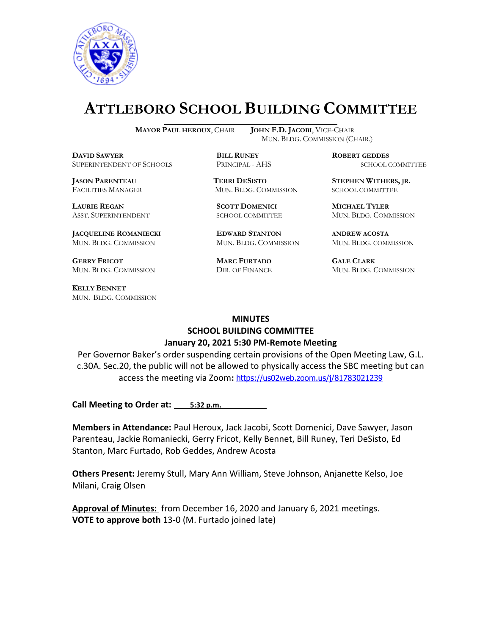

# **ATTLEBORO SCHOOL BUILDING COMMITTEE**

 $\overline{a}$ 

**MAYOR PAUL HEROUX**, CHAIR **JOHN F.D. JACOBI**, VICE-CHAIR MUN. BLDG. COMMISSION (CHAIR.)

**DAVID SAWYER BILL RUNEY ROBERT GEDDES** SUPERINTENDENT OF SCHOOLS PRINCIPAL - AHS SCHOOL COMMITTEE

**LAURIE REGAN SCOTT DOMENICI MICHAEL TYLER**

**JACQUELINE ROMANIECKI EDWARD STANTON ANDREW ACOSTA** MUN. BLDG. COMMISSION MUN. BLDG. COMMISSION MUN. BLDG. COMMISSION

**GERRY FRICOT MARC FURTADO GALE CLARK**

**KELLY BENNET** MUN. BLDG. COMMISSION

**JASON PARENTEAU TERRI DESISTO STEPHEN WITHERS, JR.** FACILITIES MANAGER MUN. BLDG. COMMISSION SCHOOL COMMITTEE

ASST. SUPERINTENDENT SCHOOL COMMITTEE MUN. BLDG. COMMISSION

MUN. BLDG. COMMISSION DIR. OF FINANCE MUN. BLDG. COMMISSION

#### **MINUTES**

#### **SCHOOL BUILDING COMMITTEE January 20, 2021 5:30 PM-Remote Meeting**

Per Governor Baker's order suspending certain provisions of the Open Meeting Law, G.L. c.30A. Sec.20, the public will not be allowed to physically access the SBC meeting but can access the meeting via Zoom**:** <https://us02web.zoom.us/j/81783021239>

**Call Meeting to Order at: 5:32 p.m.** 

**Members in Attendance:** Paul Heroux, Jack Jacobi, Scott Domenici, Dave Sawyer, Jason Parenteau, Jackie Romaniecki, Gerry Fricot, Kelly Bennet, Bill Runey, Teri DeSisto, Ed Stanton, Marc Furtado, Rob Geddes, Andrew Acosta

**Others Present:** Jeremy Stull, Mary Ann William, Steve Johnson, Anjanette Kelso, Joe Milani, Craig Olsen

**Approval of Minutes:** from December 16, 2020 and January 6, 2021 meetings. **VOTE to approve both** 13-0 (M. Furtado joined late)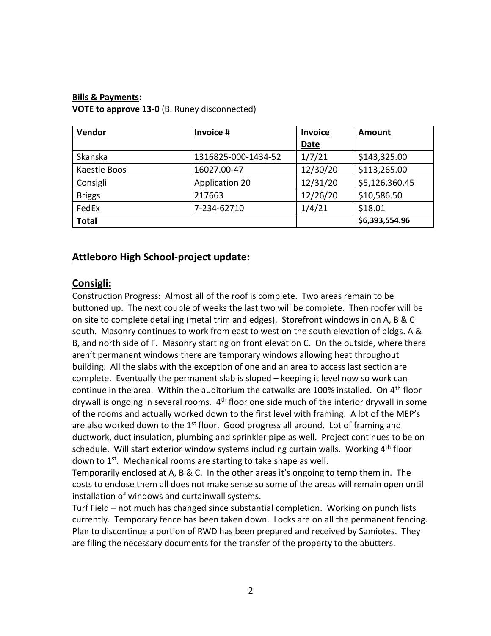#### **Bills & Payments:**

**VOTE to approve 13-0** (B. Runey disconnected)

| Vendor        | Invoice #           | Invoice     | <b>Amount</b>  |
|---------------|---------------------|-------------|----------------|
|               |                     | <b>Date</b> |                |
| Skanska       | 1316825-000-1434-52 | 1/7/21      | \$143,325.00   |
| Kaestle Boos  | 16027.00-47         | 12/30/20    | \$113,265.00   |
| Consigli      | Application 20      | 12/31/20    | \$5,126,360.45 |
| <b>Briggs</b> | 217663              | 12/26/20    | \$10,586.50    |
| FedEx         | 7-234-62710         | 1/4/21      | \$18.01        |
| <b>Total</b>  |                     |             | \$6,393,554.96 |

# **Attleboro High School-project update:**

## **Consigli:**

Construction Progress: Almost all of the roof is complete. Two areas remain to be buttoned up. The next couple of weeks the last two will be complete. Then roofer will be on site to complete detailing (metal trim and edges). Storefront windows in on A, B & C south. Masonry continues to work from east to west on the south elevation of bldgs. A & B, and north side of F. Masonry starting on front elevation C. On the outside, where there aren't permanent windows there are temporary windows allowing heat throughout building. All the slabs with the exception of one and an area to access last section are complete. Eventually the permanent slab is sloped – keeping it level now so work can continue in the area. Within the auditorium the catwalks are 100% installed. On  $4<sup>th</sup>$  floor drywall is ongoing in several rooms. 4<sup>th</sup> floor one side much of the interior drywall in some of the rooms and actually worked down to the first level with framing. A lot of the MEP's are also worked down to the  $1<sup>st</sup>$  floor. Good progress all around. Lot of framing and ductwork, duct insulation, plumbing and sprinkler pipe as well. Project continues to be on schedule. Will start exterior window systems including curtain walls. Working  $4<sup>th</sup>$  floor down to 1<sup>st</sup>. Mechanical rooms are starting to take shape as well.

Temporarily enclosed at A, B & C. In the other areas it's ongoing to temp them in. The costs to enclose them all does not make sense so some of the areas will remain open until installation of windows and curtainwall systems.

Turf Field – not much has changed since substantial completion. Working on punch lists currently. Temporary fence has been taken down. Locks are on all the permanent fencing. Plan to discontinue a portion of RWD has been prepared and received by Samiotes. They are filing the necessary documents for the transfer of the property to the abutters.